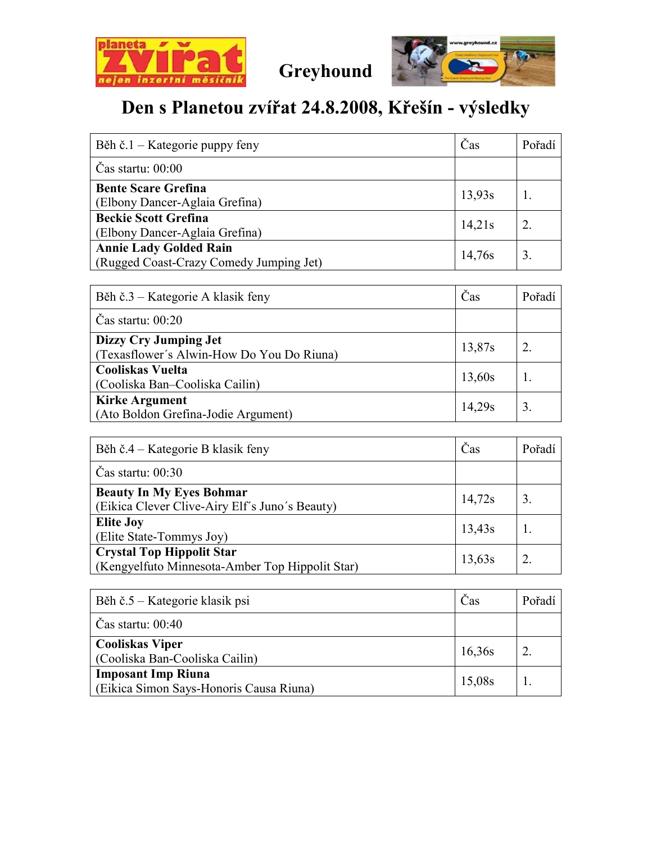

Greyhound



## Den s Planetou zvířat 24.8.2008, Křešín - výsledky

| Běh č.1 – Kategorie puppy feny                                           | Čas    | Pořadí |
|--------------------------------------------------------------------------|--------|--------|
| $\text{Cas}$ startu: $00:00$                                             |        |        |
| <b>Bente Scare Grefina</b><br>(Elbony Dancer-Aglaia Grefina)             | 13,93s |        |
| <b>Beckie Scott Grefina</b><br>(Elbony Dancer-Aglaia Grefina)            | 14,21s |        |
| <b>Annie Lady Golded Rain</b><br>(Rugged Coast-Crazy Comedy Jumping Jet) | 14,76s |        |

| Běh č.3 – Kategorie A klasik feny                                  | Čas    | Pořadí |
|--------------------------------------------------------------------|--------|--------|
| Čas startu: $00:20$                                                |        |        |
| Dizzy Cry Jumping Jet<br>(Texasflower's Alwin-How Do You Do Riuna) | 13,87s |        |
| <b>Cooliskas Vuelta</b><br>(Cooliska Ban-Cooliska Cailin)          | 13,60s |        |
| <b>Kirke Argument</b><br>(Ato Boldon Grefina-Jodie Argument)       | 14,29s |        |

| Běh č.4 – Kategorie B klasik feny                                                   | Čas    | Pořadí |
|-------------------------------------------------------------------------------------|--------|--------|
| $\text{Cas}$ startu: 00:30                                                          |        |        |
| <b>Beauty In My Eyes Bohmar</b><br>(Eikica Clever Clive-Airy Elf's Juno's Beauty)   | 14,72s | 3.     |
| <b>Elite Joy</b><br>(Elite State-Tommys Joy)                                        | 13,43s |        |
| <b>Crystal Top Hippolit Star</b><br>(Kengyelfuto Minnesota-Amber Top Hippolit Star) | 13,63s |        |

| Běh č.5 – Kategorie klasik psi                                       | Čas    | Pořadí |
|----------------------------------------------------------------------|--------|--------|
| $\text{Cas}$ startu: 00:40                                           |        |        |
| <b>Cooliskas Viper</b><br>(Cooliska Ban-Cooliska Cailin)             | 16,36s |        |
| <b>Imposant Imp Riuna</b><br>(Eikica Simon Says-Honoris Causa Riuna) | 15,08s |        |